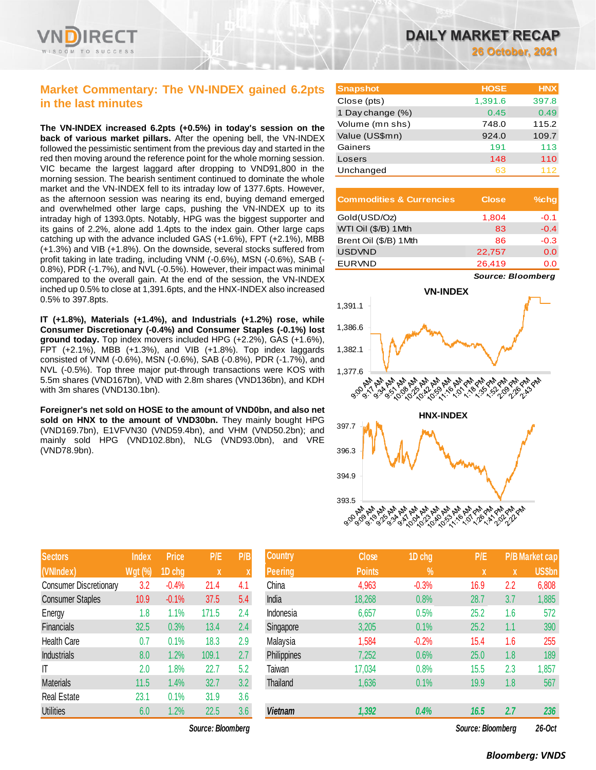

## **Market Commentary: The VN-INDEX gained 6.2pts in the last minutes**

**The VN-INDEX increased 6.2pts (+0.5%) in today's session on the back of various market pillars.** After the opening bell, the VN-INDEX followed the pessimistic sentiment from the previous day and started in the red then moving around the reference point for the whole morning session. VIC became the largest laggard after dropping to VND91,800 in the morning session. The bearish sentiment continued to dominate the whole market and the VN-INDEX fell to its intraday low of 1377.6pts. However, as the afternoon session was nearing its end, buying demand emerged and overwhelmed other large caps, pushing the VN-INDEX up to its intraday high of 1393.0pts. Notably, HPG was the biggest supporter and its gains of 2.2%, alone add 1.4pts to the index gain. Other large caps catching up with the advance included GAS (+1.6%), FPT (+2.1%), MBB (+1.3%) and VIB (+1.8%). On the downside, several stocks suffered from profit taking in late trading, including VNM (-0.6%), MSN (-0.6%), SAB (- 0.8%), PDR (-1.7%), and NVL (-0.5%). However, their impact was minimal compared to the overall gain. At the end of the session, the VN-INDEX inched up 0.5% to close at 1,391.6pts, and the HNX-INDEX also increased 0.5% to 397.8pts.

**IT (+1.8%), Materials (+1.4%), and Industrials (+1.2%) rose, while Consumer Discretionary (-0.4%) and Consumer Staples (-0.1%) lost ground today.** Top index movers included HPG (+2.2%), GAS (+1.6%), FPT (+2.1%), MBB (+1.3%), and VIB (+1.8%). Top index laggards consisted of VNM (-0.6%), MSN (-0.6%), SAB (-0.8%), PDR (-1.7%), and NVL (-0.5%). Top three major put-through transactions were KOS with 5.5m shares (VND167bn), VND with 2.8m shares (VND136bn), and KDH with 3m shares (VND130.1bn).

**Foreigner's net sold on HOSE to the amount of VND0bn, and also net**  sold on HNX to the amount of VND30bn. They mainly bought HPG (VND169.7bn), E1VFVN30 (VND59.4bn), and VHM (VND50.2bn); and mainly sold HPG (VND102.8bn), NLG (VND93.0bn), and VRE (VND78.9bn).

| <b>Sectors</b>                | <b>Index</b>   | <b>Price</b> | P/E         | P/B |
|-------------------------------|----------------|--------------|-------------|-----|
| (VNIndex)                     | <b>Wgt</b> (%) | 1D chg       | $\mathbf x$ | X   |
| <b>Consumer Discretionary</b> | 3.2            | $-0.4%$      | 21.4        | 4.1 |
| <b>Consumer Staples</b>       | 10.9           | $-0.1%$      | 37.5        | 5.4 |
| Energy                        | 1.8            | 1.1%         | 171.5       | 2.4 |
| Financials                    | 32.5           | 0.3%         | 13.4        | 2.4 |
| Health Care                   | 0.7            | 0.1%         | 18.3        | 2.9 |
| <b>Industrials</b>            | 8.0            | 1.2%         | 109.1       | 2.7 |
| IT                            | 2.0            | 1.8%         | 22.7        | 5.2 |
| <b>Materials</b>              | 11.5           | 1.4%         | 32.7        | 3.2 |
| <b>Real Estate</b>            | 23.1           | 0.1%         | 31.9        | 3.6 |
| <b>Utilities</b>              | 6.0            | 1.2%         | 22.5        | 3.6 |

| <b>Snapshot</b>  | <b>HOSE</b> | <b>HNX</b> |
|------------------|-------------|------------|
| Close (pts)      | 1,391.6     | 397.8      |
| 1 Day change (%) | 0.45        | 0.49       |
| Volume (mn shs)  | 748.0       | 115.2      |
| Value (US\$mn)   | 924.0       | 109.7      |
| Gainers          | 191         | 113        |
| Losers           | 148         | 110        |
| Unchanged        | 63          | 112        |

| <b>Commodities &amp; Currencies</b> | <b>Close</b> | $%$ chq |
|-------------------------------------|--------------|---------|
| Gold(USD/Oz)                        | 1,804        | $-0.1$  |
| WTI Oil (\$/B) 1Mth                 | 83           | $-0.4$  |
| Brent Oil (\$/B) 1 Mth              | 86           | $-0.3$  |
| <b>USDVND</b>                       | 22,757       | 0.0     |
| <b>EURVND</b>                       | 26,419       | 0.0     |

*Source: Bloomberg*



| <b>Sectors</b>                | <b>Index</b>   | <b>Price</b> | P/E               | P/B  | <b>Country</b>  | Close         | 1D chg  | P/E               |     | <b>P/B Market cap</b> |
|-------------------------------|----------------|--------------|-------------------|------|-----------------|---------------|---------|-------------------|-----|-----------------------|
| (VNIndex)                     | <b>Wgt (%)</b> | 1D chg       | $\boldsymbol{X}$  |      | <b>Peering</b>  | <b>Points</b> | $\%$    | X                 | X   | US\$bn                |
| <b>Consumer Discretionary</b> | 3.2            | $-0.4%$      | 21.4              | -4.1 | China           | 4,963         | $-0.3%$ | 16.9              | 2.2 | 6,808                 |
| <b>Consumer Staples</b>       | 10.9           | $-0.1%$      | 37.5              | 5.4  | India           | 18,268        | 0.8%    | 28.7              | 3.7 | 1,885                 |
| Energy                        | 1.8            | 1.1%         | 171.5             | 2.4  | Indonesia       | 6,657         | 0.5%    | 25.2              | 1.6 | 572                   |
| Financials                    | 32.5           | 0.3%         | 13.4              | 2.4  | Singapore       | 3,205         | 0.1%    | 25.2              | 1.1 | 390                   |
| Health Care                   | 0.7            | 0.1%         | 18.3              | 2.9  | Malaysia        | 1,584         | $-0.2%$ | 15.4              | 1.6 | 255                   |
| <b>Industrials</b>            | 8.0            | 1.2%         | 109.1             | 2.7  | Philippines     | 7,252         | 0.6%    | 25.0              | 1.8 | 189                   |
| IΤ                            | 2.0            | 1.8%         | 22.7              | 5.2  | Taiwan          | 17,034        | 0.8%    | 15.5              | 2.3 | 1,857                 |
| <b>Materials</b>              | 11.5           | 1.4%         | 32.7              | 3.2  | <b>Thailand</b> | 1,636         | 0.1%    | 19.9              | 1.8 | 567                   |
| Real Estate                   | 23.1           | 0.1%         | 31.9              | 3.6  |                 |               |         |                   |     |                       |
| <b>Utilities</b>              | 6.0            | 1.2%         | 22.5              | 3.6  | Vietnam         | 1,392         | 0.4%    | 16.5              | 2.7 | 236                   |
|                               |                |              | Source: Bloomberg |      |                 |               |         | Source: Bloomberg |     | 26-Oct                |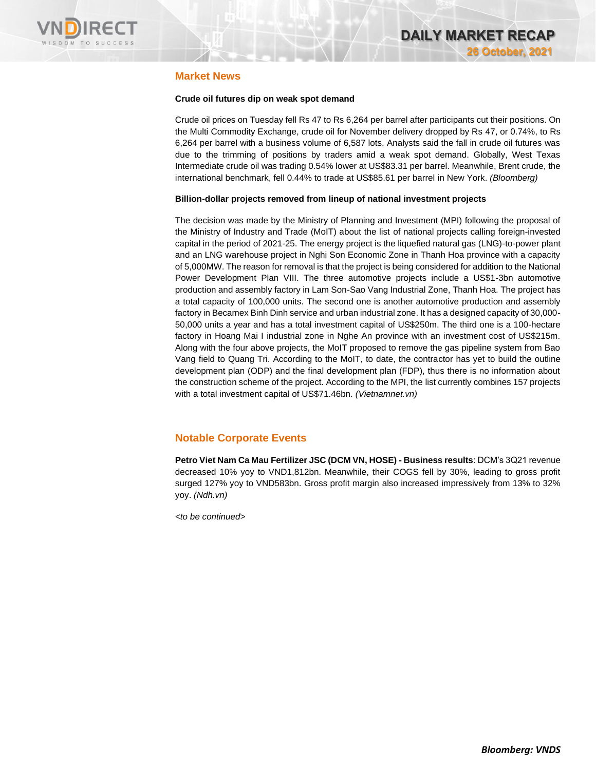

### **Market News**

### **Crude oil futures dip on weak spot demand**

Crude oil prices on Tuesday fell Rs 47 to Rs 6,264 per barrel after participants cut their positions. On the Multi Commodity Exchange, crude oil for November delivery dropped by Rs 47, or 0.74%, to Rs 6,264 per barrel with a business volume of 6,587 lots. Analysts said the fall in crude oil futures was due to the trimming of positions by traders amid a weak spot demand. Globally, West Texas Intermediate crude oil was trading 0.54% lower at US\$83.31 per barrel. Meanwhile, Brent crude, the international benchmark, fell 0.44% to trade at US\$85.61 per barrel in New York. *(Bloomberg)*

### **Billion-dollar projects removed from lineup of national investment projects**

The decision was made by the Ministry of Planning and Investment (MPI) following the proposal of the Ministry of Industry and Trade (MoIT) about the list of national projects calling foreign-invested capital in the period of 2021-25. The energy project is the liquefied natural gas (LNG)-to-power plant and an LNG warehouse project in Nghi Son Economic Zone in Thanh Hoa province with a capacity of 5,000MW. The reason for removal is that the project is being considered for addition to the National Power Development Plan VIII. The three automotive projects include a US\$1-3bn automotive production and assembly factory in Lam Son-Sao Vang Industrial Zone, Thanh Hoa. The project has a total capacity of 100,000 units. The second one is another automotive production and assembly factory in Becamex Binh Dinh service and urban industrial zone. It has a designed capacity of 30,000- 50,000 units a year and has a total investment capital of US\$250m. The third one is a 100-hectare factory in Hoang Mai I industrial zone in Nghe An province with an investment cost of US\$215m. Along with the four above projects, the MoIT proposed to remove the gas pipeline system from Bao Vang field to Quang Tri. According to the MoIT, to date, the contractor has yet to build the outline development plan (ODP) and the final development plan (FDP), thus there is no information about the construction scheme of the project. According to the MPI, the list currently combines 157 projects with a total investment capital of US\$71.46bn. *(Vietnamnet.vn)*

### **Notable Corporate Events**

**Petro Viet Nam Ca Mau Fertilizer JSC (DCM VN, HOSE) - Business results**: DCM's 3Q21 revenue decreased 10% yoy to VND1,812bn. Meanwhile, their COGS fell by 30%, leading to gross profit surged 127% yoy to VND583bn. Gross profit margin also increased impressively from 13% to 32% yoy. *(Ndh.vn)*

*<to be continued>*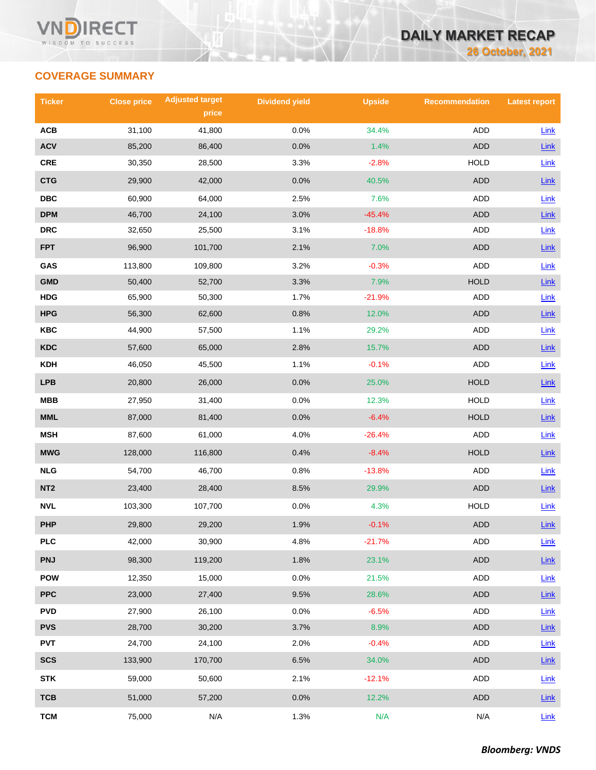

# **COVERAGE SUMMARY**

| <b>Ticker</b>           | <b>Close price</b> | <b>Adjusted target</b> | <b>Dividend yield</b> | <b>Upside</b> | <b>Recommendation</b> | <b>Latest report</b> |
|-------------------------|--------------------|------------------------|-----------------------|---------------|-----------------------|----------------------|
|                         |                    | price                  |                       |               |                       |                      |
| ACB                     | 31,100             | 41,800                 | 0.0%                  | 34.4%         | ADD                   | Link                 |
| <b>ACV</b>              | 85,200             | 86,400                 | 0.0%                  | 1.4%          | <b>ADD</b>            | $Link$               |
| <b>CRE</b>              | 30,350             | 28,500                 | 3.3%                  | $-2.8%$       | <b>HOLD</b>           | Link                 |
| <b>CTG</b>              | 29,900             | 42,000                 | 0.0%                  | 40.5%         | <b>ADD</b>            | Link                 |
| $\overline{\text{DBC}}$ | 60,900             | 64,000                 | 2.5%                  | 7.6%          | ADD                   | Link                 |
| <b>DPM</b>              | 46,700             | 24,100                 | 3.0%                  | $-45.4%$      | <b>ADD</b>            | $Link$               |
| <b>DRC</b>              | 32,650             | 25,500                 | 3.1%                  | $-18.8%$      | ADD                   | Link                 |
| <b>FPT</b>              | 96,900             | 101,700                | 2.1%                  | 7.0%          | ADD                   | $Link$               |
| GAS                     | 113,800            | 109,800                | 3.2%                  | $-0.3%$       | <b>ADD</b>            | Link                 |
| <b>GMD</b>              | 50,400             | 52,700                 | 3.3%                  | 7.9%          | <b>HOLD</b>           | $Link$               |
| <b>HDG</b>              | 65,900             | 50,300                 | 1.7%                  | $-21.9%$      | <b>ADD</b>            | Link                 |
| <b>HPG</b>              | 56,300             | 62,600                 | 0.8%                  | 12.0%         | ADD                   | $Link$               |
| <b>KBC</b>              | 44,900             | 57,500                 | 1.1%                  | 29.2%         | ADD                   | Link                 |
| <b>KDC</b>              | 57,600             | 65,000                 | 2.8%                  | 15.7%         | <b>ADD</b>            | Link                 |
| <b>KDH</b>              | 46,050             | 45,500                 | 1.1%                  | $-0.1%$       | ADD                   | Link                 |
| <b>LPB</b>              | 20,800             | 26,000                 | 0.0%                  | 25.0%         | <b>HOLD</b>           | $Link$               |
| <b>MBB</b>              | 27,950             | 31,400                 | 0.0%                  | 12.3%         | <b>HOLD</b>           | Link                 |
| MML                     | 87,000             | 81,400                 | 0.0%                  | $-6.4%$       | <b>HOLD</b>           | $Link$               |
| <b>MSH</b>              | 87,600             | 61,000                 | 4.0%                  | $-26.4%$      | ADD                   | Link                 |
| <b>MWG</b>              | 128,000            | 116,800                | 0.4%                  | $-8.4%$       | <b>HOLD</b>           | $Link$               |
| NLG                     | 54,700             | 46,700                 | 0.8%                  | $-13.8%$      | ADD                   | Link                 |
| NT <sub>2</sub>         | 23,400             | 28,400                 | 8.5%                  | 29.9%         | ADD                   | $Link$               |
| <b>NVL</b>              | 103,300            | 107,700                | 0.0%                  | 4.3%          | <b>HOLD</b>           | Link                 |
| PHP                     | 29,800             | 29,200                 | 1.9%                  | $-0.1%$       | <b>ADD</b>            | Link                 |
| <b>PLC</b>              | 42,000             | 30,900                 | 4.8%                  | $-21.7%$      | <b>ADD</b>            | $Link$               |
| <b>PNJ</b>              | 98,300             | 119,200                | 1.8%                  | 23.1%         | <b>ADD</b>            | $Link$               |
| <b>POW</b>              | 12,350             | 15,000                 | 0.0%                  | 21.5%         | ADD                   | Link                 |
| <b>PPC</b>              | 23,000             | 27,400                 | 9.5%                  | 28.6%         | <b>ADD</b>            | Link                 |
| <b>PVD</b>              | 27,900             | 26,100                 | 0.0%                  | $-6.5%$       | ADD                   | $Link$               |
| <b>PVS</b>              | 28,700             | 30,200                 | 3.7%                  | 8.9%          | ADD                   | $Link$               |
| <b>PVT</b>              | 24,700             | 24,100                 | 2.0%                  | $-0.4%$       | ADD                   | Link                 |
| <b>SCS</b>              | 133,900            | 170,700                | 6.5%                  | 34.0%         | ADD                   | $Link$               |
| <b>STK</b>              | 59,000             | 50,600                 | 2.1%                  | $-12.1%$      | ADD                   | Link                 |
| <b>TCB</b>              | 51,000             | 57,200                 | 0.0%                  | 12.2%         | ADD                   | $Link$               |
| <b>TCM</b>              | 75,000             | N/A                    | 1.3%                  | N/A           | N/A                   | $Link$               |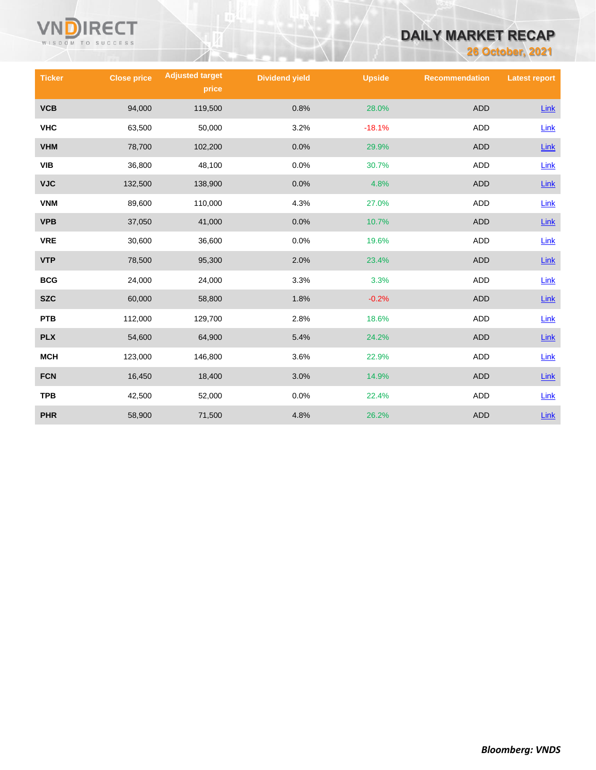

# **DAILY MARKET RECAP**

**26 October, 2021**

| <b>Ticker</b> | <b>Close price</b> | <b>Adjusted target</b><br>price | <b>Dividend yield</b> | <b>Upside</b> | <b>Recommendation</b> | <b>Latest report</b> |
|---------------|--------------------|---------------------------------|-----------------------|---------------|-----------------------|----------------------|
| <b>VCB</b>    | 94,000             | 119,500                         | 0.8%                  | 28.0%         | <b>ADD</b>            | Link                 |
| <b>VHC</b>    | 63,500             | 50,000                          | 3.2%                  | $-18.1%$      | <b>ADD</b>            | Link                 |
| <b>VHM</b>    | 78,700             | 102,200                         | 0.0%                  | 29.9%         | <b>ADD</b>            | Link                 |
| VIB           | 36,800             | 48,100                          | 0.0%                  | 30.7%         | <b>ADD</b>            | Link                 |
| <b>VJC</b>    | 132,500            | 138,900                         | 0.0%                  | 4.8%          | <b>ADD</b>            | Link                 |
| <b>VNM</b>    | 89,600             | 110,000                         | 4.3%                  | 27.0%         | ADD                   | Link                 |
| <b>VPB</b>    | 37,050             | 41,000                          | 0.0%                  | 10.7%         | <b>ADD</b>            | Link                 |
| <b>VRE</b>    | 30,600             | 36,600                          | 0.0%                  | 19.6%         | ADD                   | Link                 |
| <b>VTP</b>    | 78,500             | 95,300                          | 2.0%                  | 23.4%         | <b>ADD</b>            | Link                 |
| <b>BCG</b>    | 24,000             | 24,000                          | 3.3%                  | 3.3%          | <b>ADD</b>            | Link                 |
| <b>SZC</b>    | 60,000             | 58,800                          | 1.8%                  | $-0.2%$       | <b>ADD</b>            | Link                 |
| <b>PTB</b>    | 112,000            | 129,700                         | 2.8%                  | 18.6%         | <b>ADD</b>            | Link                 |
| <b>PLX</b>    | 54,600             | 64,900                          | 5.4%                  | 24.2%         | <b>ADD</b>            | Link                 |
| <b>MCH</b>    | 123,000            | 146,800                         | 3.6%                  | 22.9%         | <b>ADD</b>            | Link                 |
| <b>FCN</b>    | 16,450             | 18,400                          | 3.0%                  | 14.9%         | <b>ADD</b>            | Link                 |
| <b>TPB</b>    | 42,500             | 52,000                          | 0.0%                  | 22.4%         | <b>ADD</b>            | Link                 |
| <b>PHR</b>    | 58,900             | 71,500                          | 4.8%                  | 26.2%         | <b>ADD</b>            | Link                 |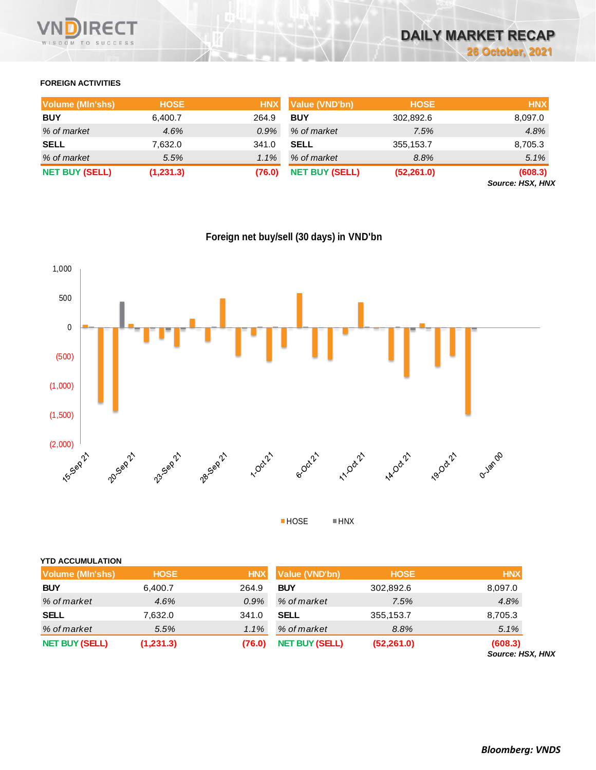

### **FOREIGN ACTIVITIES**

| <b>Volume (MIn'shs)</b> | <b>HOSE</b> | <b>HNX</b> | Value (VND'bn)        | <b>HOSE</b> | <b>HNX</b>                         |
|-------------------------|-------------|------------|-----------------------|-------------|------------------------------------|
| <b>BUY</b>              | 6,400.7     | 264.9      | <b>BUY</b>            | 302,892.6   | 8,097.0                            |
| % of market             | 4.6%        | 0.9%       | % of market           | 7.5%        | 4.8%                               |
| <b>SELL</b>             | 7,632.0     | 341.0      | <b>SELL</b>           | 355,153.7   | 8,705.3                            |
| % of market             | 5.5%        | 1.1%       | % of market           | 8.8%        | 5.1%                               |
| <b>NET BUY (SELL)</b>   | (1,231.3)   | (76.0)     | <b>NET BUY (SELL)</b> | (52, 261.0) | (608.3)<br><b>Source: HSX, HNX</b> |

**Foreign net buy/sell (30 days) in VND'bn**



| $\blacksquare$ HOSE | $\blacksquare$ HNX |
|---------------------|--------------------|
|                     |                    |

|  | ∎ HN |
|--|------|
|  |      |

| <b>YTD ACCUMULATION</b> |             |            |                       |             |                             |
|-------------------------|-------------|------------|-----------------------|-------------|-----------------------------|
| Volume (MIn'shs)        | <b>HOSE</b> | <b>HNX</b> | Value (VND'bn)        | <b>HOSE</b> | <b>HNX</b>                  |
| <b>BUY</b>              | 6,400.7     | 264.9      | <b>BUY</b>            | 302,892.6   | 8,097.0                     |
| % of market             | 4.6%        | 0.9%       | % of market           | 7.5%        | 4.8%                        |
| <b>SELL</b>             | 7,632.0     | 341.0      | <b>SELL</b>           | 355,153.7   | 8,705.3                     |
| % of market             | 5.5%        | 1.1%       | % of market           | 8.8%        | 5.1%                        |
| <b>NET BUY (SELL)</b>   | (1,231.3)   | (76.0)     | <b>NET BUY (SELL)</b> | (52, 261.0) | (608.3)<br>Source: HSX, HNX |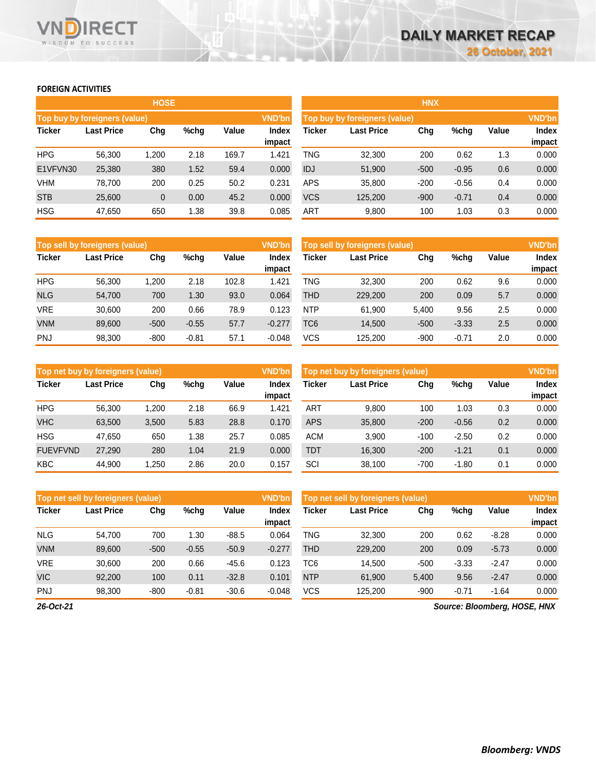### **FOREIGN ACTIVITIES**

WISDOM TO SUCCESS

**RECT** 

VND

|                               |            | <b>HOSE</b> |      |               |                               |            |                   | <b>HNX</b> |         |               |                        |
|-------------------------------|------------|-------------|------|---------------|-------------------------------|------------|-------------------|------------|---------|---------------|------------------------|
| Top buy by foreigners (value) |            |             |      | <b>VND'bn</b> | Top buy by foreigners (value) |            |                   |            |         | <b>VND'bn</b> |                        |
| <b>Ticker</b>                 | Last Price | Chg         | %chg | Value         | <b>Index</b><br>impact        | Ticker     | <b>Last Price</b> | Chg        | %chg    | Value         | <b>Index</b><br>impact |
| <b>HPG</b>                    | 56.300     | 1,200       | 2.18 | 169.7         | 1.421                         | TNG        | 32,300            | 200        | 0.62    | 1.3           | 0.000                  |
| E1VFVN30                      | 25,380     | 380         | 1.52 | 59.4          | 0.000                         | IDJ        | 51,900            | $-500$     | $-0.95$ | 0.6           | 0.000                  |
| <b>VHM</b>                    | 78.700     | 200         | 0.25 | 50.2          | 0.231                         | <b>APS</b> | 35,800            | $-200$     | $-0.56$ | 0.4           | 0.000                  |
| <b>STB</b>                    | 25,600     | 0           | 0.00 | 45.2          | 0.000                         | <b>VCS</b> | 125,200           | $-900$     | $-0.71$ | 0.4           | 0.000                  |
| <b>HSG</b>                    | 47,650     | 650         | 1.38 | 39.8          | 0.085                         | <b>ART</b> | 9,800             | 100        | 1.03    | 0.3           | 0.000                  |

|               | Top sell by foreigners (value) |        |         |       | <b>VND'bn</b>   | Top sell by foreigners (value) |                   |        |         | <b>VND'bn</b> |                        |
|---------------|--------------------------------|--------|---------|-------|-----------------|--------------------------------|-------------------|--------|---------|---------------|------------------------|
| <b>Ticker</b> | <b>Last Price</b>              | Chg    | %chq    | Value | Index<br>impact | Ticker                         | <b>Last Price</b> | Chg    | %chg    | Value         | <b>Index</b><br>impact |
| <b>HPG</b>    | 56.300                         | 1.200  | 2.18    | 102.8 | 1.421           | TNG                            | 32,300            | 200    | 0.62    | 9.6           | 0.000                  |
| <b>NLG</b>    | 54.700                         | 700    | 1.30    | 93.0  | 0.064           | THD                            | 229,200           | 200    | 0.09    | 5.7           | 0.000                  |
| <b>VRE</b>    | 30,600                         | 200    | 0.66    | 78.9  | 0.123           | <b>NTP</b>                     | 61.900            | 5.400  | 9.56    | 2.5           | 0.000                  |
| <b>VNM</b>    | 89,600                         | $-500$ | $-0.55$ | 57.7  | $-0.277$        | TC6                            | 14,500            | $-500$ | $-3.33$ | 2.5           | 0.000                  |
| <b>PNJ</b>    | 98,300                         | $-800$ | $-0.81$ | 57.1  | $-0.048$        | vcs                            | 125.200           | $-900$ | $-0.71$ | 2.0           | 0.000                  |

|                 | Top net buy by foreigners (value) |       |      |       | Top net buy by foreigners (value) |            |                   |        |         |       |                        |
|-----------------|-----------------------------------|-------|------|-------|-----------------------------------|------------|-------------------|--------|---------|-------|------------------------|
| <b>Ticker</b>   | <b>Last Price</b>                 | Chg   | %chq | Value | Index<br>impact                   | Ticker     | <b>Last Price</b> | Chg    | %chg    | Value | <b>Index</b><br>impact |
| <b>HPG</b>      | 56.300                            | 1.200 | 2.18 | 66.9  | 1.421                             | <b>ART</b> | 9.800             | 100    | 1.03    | 0.3   | 0.000                  |
| <b>VHC</b>      | 63.500                            | 3,500 | 5.83 | 28.8  | 0.170                             | APS        | 35,800            | $-200$ | $-0.56$ | 0.2   | 0.000                  |
| <b>HSG</b>      | 47.650                            | 650   | .38  | 25.7  | 0.085                             | <b>ACM</b> | 3.900             | $-100$ | $-2.50$ | 0.2   | 0.000                  |
| <b>FUEVFVND</b> | 27,290                            | 280   | 1.04 | 21.9  | 0.000                             | TDT        | 16,300            | $-200$ | $-1.21$ | 0.1   | 0.000                  |
| <b>KBC</b>      | 44.900                            | .250  | 2.86 | 20.0  | 0.157                             | SCI        | 38.100            | $-700$ | $-1.80$ | 0.1   | 0.000                  |

|               | Top net sell by foreigners (value) |        |         |         | Top net sell by foreigners (value) |            |                   |        |         |         |                        |
|---------------|------------------------------------|--------|---------|---------|------------------------------------|------------|-------------------|--------|---------|---------|------------------------|
| <b>Ticker</b> | Last Price                         | Chg    | %chg    | Value   | <b>Index</b><br>impact             | Ticker     | <b>Last Price</b> | Chg    | %chg    | Value   | <b>Index</b><br>impact |
| <b>NLG</b>    | 54.700                             | 700    | 1.30    | $-88.5$ | 0.064                              | TNG        | 32.300            | 200    | 0.62    | $-8.28$ | 0.000                  |
| <b>VNM</b>    | 89,600                             | $-500$ | $-0.55$ | $-50.9$ | $-0.277$                           | THD        | 229,200           | 200    | 0.09    | $-5.73$ | 0.000                  |
| <b>VRE</b>    | 30.600                             | 200    | 0.66    | $-45.6$ | 0.123                              | TC6        | 14.500            | $-500$ | $-3.33$ | $-2.47$ | 0.000                  |
| <b>VIC</b>    | 92.200                             | 100    | 0.11    | $-32.8$ | 0.101                              | <b>NTP</b> | 61.900            | 5.400  | 9.56    | $-2.47$ | 0.000                  |
| <b>PNJ</b>    | 98,300                             | $-800$ | $-0.81$ | $-30.6$ | $-0.048$                           | vcs        | 125.200           | $-900$ | $-0.71$ | $-1.64$ | 0.000                  |

*26-Oct-21*

*Source: Bloomberg, HOSE, HNX*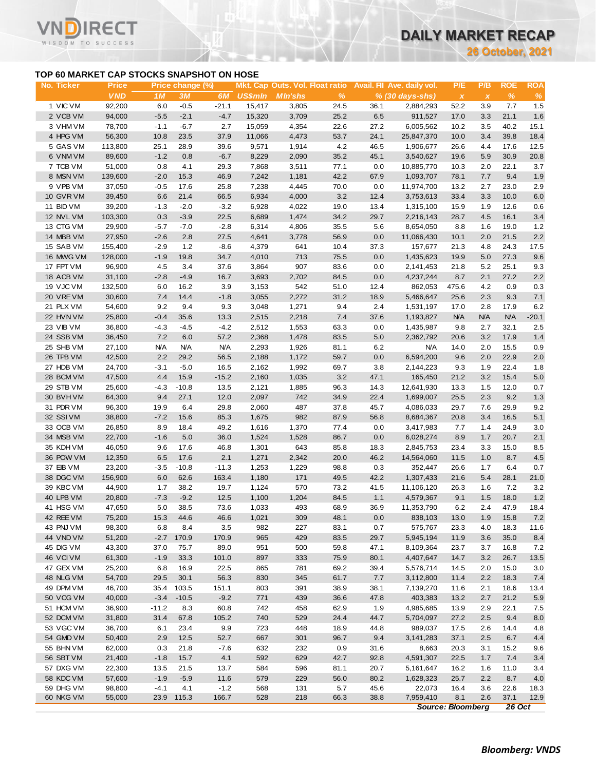**26 October, 2021**

### **TOP 60 MARKET CAP STOCKS SNAPSHOT ON HOSE**

΄Τ

|                        | TOP 60 MARKET CAP STOCKS SNAPSHOT ON HOSE |                   |                    |                    |                  |                                 |              |              |                            |              |              |              |              |
|------------------------|-------------------------------------------|-------------------|--------------------|--------------------|------------------|---------------------------------|--------------|--------------|----------------------------|--------------|--------------|--------------|--------------|
| No. Ticker             | <b>Price</b>                              |                   | Price change (%)   |                    |                  | Mkt. Cap Outs. Vol. Float ratio |              |              | Avail. Fil Ave. daily vol. | P/E          | P/B          | <b>ROE</b>   | <b>ROA</b>   |
|                        | <b>VND</b>                                | 1 M               | ЗМ                 | 6M                 | <b>US\$mln</b>   | <b>MIn'shs</b>                  | $\%$         |              | % (30 days-shs)            | $\pmb{\chi}$ | $\pmb{\chi}$ | $\%$         | %            |
| 1 VIC VM               | 92,200                                    | 6.0               | $-0.5$             | $-21.1$            | 15,417           | 3,805                           | 24.5         | 36.1         | 2,884,293                  | 52.2         | 3.9          | 7.7          | 1.5          |
| 2 VCB VM               | 94,000                                    | $-5.5$            | $-2.1$             | $-4.7$             | 15,320           | 3,709                           | 25.2         | 6.5          | 911,527                    | 17.0         | 3.3          | 21.1         | 1.6          |
| 3 VHM VM<br>4 HPG VM   | 78,700<br>56,300                          | $-1.1$<br>10.8    | $-6.7$<br>23.5     | 2.7<br>37.9        | 15,059<br>11,066 | 4,354<br>4,473                  | 22.6<br>53.7 | 27.2<br>24.1 | 6,005,562<br>25,847,370    | 10.2<br>10.0 | 3.5<br>3.4   | 40.2<br>39.8 | 15.1<br>18.4 |
| 5 GAS VM               | 113,800                                   | 25.1              | 28.9               | 39.6               | 9,571            | 1,914                           | 4.2          | 46.5         | 1,906,677                  | 26.6         | 4.4          | 17.6         | 12.5         |
| 6 VNM VM               | 89,600                                    | $-1.2$            | 0.8                | $-6.7$             | 8,229            | 2,090                           | 35.2         | 45.1         | 3,540,627                  | 19.6         | 5.9          | 30.9         | 20.8         |
| 7 TCB VM               | 51,000                                    | 0.8               | 4.1                | 29.3               | 7,868            | 3,511                           | 77.1         | 0.0          | 10,885,770                 | 10.3         | 2.0          | 22.1         | 3.7          |
| 8 MSN VM               | 139,600                                   | $-2.0$            | 15.3               | 46.9               | 7,242            | 1,181                           | 42.2         | 67.9         | 1,093,707                  | 78.1         | 7.7          | 9.4          | 1.9          |
| 9 VPB VM               | 37,050                                    | $-0.5$            | 17.6               | 25.8               | 7,238            | 4,445                           | 70.0         | 0.0          | 11,974,700                 | 13.2         | 2.7          | 23.0         | 2.9          |
| 10 GVR VM              | 39,450                                    | 6.6               | 21.4               | 66.5               | 6,934            | 4,000                           | 3.2          | 12.4         | 3,753,613                  | 33.4         | 3.3          | 10.0         | 6.0          |
| 11 BID VM              | 39,200                                    | $-1.3$            | $-2.0$             | $-3.2$             | 6,928            | 4,022                           | 19.0         | 13.4         | 1,315,100                  | 15.9         | 1.9          | 12.6         | 0.6          |
| 12 NVL VM              | 103,300                                   | 0.3               | $-3.9$             | 22.5               | 6,689            | 1,474                           | 34.2         | 29.7         | 2,216,143                  | 28.7         | 4.5          | 16.1         | 3.4          |
| 13 CTG VM              | 29,900                                    | $-5.7$            | $-7.0$             | $-2.8$             | 6,314            | 4,806                           | 35.5         | 5.6          | 8,654,050                  | 8.8          | 1.6          | 19.0         | 1.2          |
| 14 MBB VM<br>15 SAB VM | 27,950<br>155,400                         | $-2.6$<br>$-2.9$  | 2.8<br>1.2         | 27.5<br>$-8.6$     | 4,641<br>4,379   | 3,778<br>641                    | 56.9<br>10.4 | 0.0<br>37.3  | 11,066,430<br>157,677      | 10.1<br>21.3 | 2.0<br>4.8   | 21.5<br>24.3 | 2.2<br>17.5  |
| 16 MWG VM              | 128,000                                   | $-1.9$            | 19.8               | 34.7               | 4,010            | 713                             | 75.5         | 0.0          | 1,435,623                  | 19.9         | 5.0          | 27.3         | 9.6          |
| 17 FPT VM              | 96,900                                    | 4.5               | 3.4                | 37.6               | 3,864            | 907                             | 83.6         | 0.0          | 2,141,453                  | 21.8         | 5.2          | 25.1         | 9.3          |
| 18 ACB VM              | 31,100                                    | $-2.8$            | $-4.9$             | 16.7               | 3,693            | 2,702                           | 84.5         | 0.0          | 4,237,244                  | 8.7          | 2.1          | 27.2         | 2.2          |
| 19 VJC VM              | 132,500                                   | 6.0               | 16.2               | 3.9                | 3,153            | 542                             | 51.0         | 12.4         | 862,053                    | 475.6        | 4.2          | 0.9          | 0.3          |
| 20 VRE VM              | 30,600                                    | 7.4               | 14.4               | $-1.8$             | 3,055            | 2,272                           | 31.2         | 18.9         | 5,466,647                  | 25.6         | 2.3          | 9.3          | 7.1          |
| 21 PLX VM              | 54,600                                    | 9.2               | 9.4                | 9.3                | 3,048            | 1,271                           | 9.4          | 2.4          | 1,531,197                  | 17.0         | 2.8          | 17.9         | 6.2          |
| 22 HVN VM              | 25,800                                    | $-0.4$            | 35.6               | 13.3               | 2,515            | 2,218                           | 7.4          | 37.6         | 1,193,827                  | <b>N/A</b>   | <b>N/A</b>   | <b>N/A</b>   | $-20.1$      |
| 23 VIB VM              | 36,800                                    | $-4.3$            | $-4.5$             | $-4.2$             | 2,512            | 1,553                           | 63.3         | 0.0          | 1,435,987                  | 9.8          | 2.7          | 32.1         | 2.5          |
| 24 SSB VM              | 36,450                                    | 7.2               | 6.0                | 57.2               | 2,368            | 1,478                           | 83.5         | 5.0          | 2,362,792                  | 20.6         | 3.2          | 17.9         | 1.4          |
| 25 SHB VM<br>26 TPB VM | 27,100<br>42,500                          | <b>N/A</b><br>2.2 | <b>N/A</b><br>29.2 | <b>N/A</b><br>56.5 | 2,293<br>2,188   | 1,926<br>1,172                  | 81.1<br>59.7 | 6.2<br>0.0   | <b>N/A</b><br>6,594,200    | 14.0<br>9.6  | 2.0<br>2.0   | 15.5<br>22.9 | 0.9<br>2.0   |
| 27 HDB VM              | 24,700                                    | $-3.1$            | $-5.0$             | 16.5               | 2,162            | 1,992                           | 69.7         | 3.8          | 2,144,223                  | 9.3          | 1.9          | 22.4         | 1.8          |
| 28 BCM VM              | 47,500                                    | 4.4               | 15.9               | $-15.2$            | 2,160            | 1,035                           | 3.2          | 47.1         | 165,450                    | 21.2         | 3.2          | 15.4         | 5.0          |
| 29 STB VM              | 25,600                                    | $-4.3$            | $-10.8$            | 13.5               | 2,121            | 1,885                           | 96.3         | 14.3         | 12,641,930                 | 13.3         | 1.5          | 12.0         | 0.7          |
| 30 BVHVM               | 64,300                                    | 9.4               | 27.1               | 12.0               | 2,097            | 742                             | 34.9         | 22.4         | 1,699,007                  | 25.5         | 2.3          | 9.2          | 1.3          |
| 31 PDR VM              | 96,300                                    | 19.9              | 6.4                | 29.8               | 2,060            | 487                             | 37.8         | 45.7         | 4,086,033                  | 29.7         | 7.6          | 29.9         | 9.2          |
| 32 SSIVM               | 38,800                                    | $-7.2$            | 15.6               | 85.3               | 1,675            | 982                             | 87.9         | 56.8         | 8,684,367                  | 20.8         | 3.4          | 16.5         | 5.1          |
| 33 OCB VM              | 26,850                                    | 8.9               | 18.4               | 49.2               | 1,616            | 1,370                           | 77.4         | 0.0          | 3,417,983                  | 7.7          | 1.4          | 24.9         | 3.0          |
| 34 MSB VM              | 22,700                                    | $-1.6$            | 5.0                | 36.0               | 1,524            | 1,528                           | 86.7         | 0.0          | 6,028,274                  | 8.9          | 1.7          | 20.7         | 2.1          |
| 35 KDH VM              | 46,050                                    | 9.6               | 17.6               | 46.8               | 1,301            | 643                             | 85.8         | 18.3         | 2,845,753                  | 23.4         | 3.3          | 15.0         | 8.5          |
| 36 POW VM<br>37 EIB VM | 12,350                                    | 6.5<br>$-3.5$     | 17.6<br>$-10.8$    | 2.1<br>$-11.3$     | 1,271<br>1,253   | 2,342<br>1,229                  | 20.0<br>98.8 | 46.2<br>0.3  | 14,564,060<br>352,447      | 11.5<br>26.6 | 1.0<br>1.7   | 8.7<br>6.4   | 4.5<br>0.7   |
| 38 DGC VM              | 23,200<br>156,900                         | 6.0               | 62.6               | 163.4              | 1,180            | 171                             | 49.5         | 42.2         | 1,307,433                  | 21.6         | 5.4          | 28.1         | 21.0         |
| 39 KBC VM              | 44,900                                    | 1.7               | 38.2               | 19.7               | 1,124            | 570                             | 73.2         | 41.5         | 11,106,120                 | 26.3         | 1.6          | 7.2          | $3.2\,$      |
| 40 LPB VM              | 20,800                                    | $-7.3$            | $-9.2$             | 12.5               | 1,100            | 1,204                           | 84.5         | 1.1          | 4,579,367                  | 9.1          | 1.5          | 18.0         | $1.2$        |
| 41 HSG VM              | 47,650                                    | 5.0               | 38.5               | 73.6               | 1,033            | 493                             | 68.9         | 36.9         | 11,353,790                 | 6.2          | 2.4          | 47.9         | 18.4         |
| 42 REE VM              | 75,200                                    | 15.3              | 44.6               | 46.6               | 1,021            | 309                             | 48.1         | 0.0          | 838,103                    | 13.0         | 1.9          | 15.8         | 7.2          |
| 43 PNJ VM              | 98,300                                    | 6.8               | 8.4                | 3.5                | 982              | 227                             | 83.1         | 0.7          | 575,767                    | 23.3         | 4.0          | 18.3         | 11.6         |
| 44 VND VM              | 51,200                                    | $-2.7$            | 170.9              | 170.9              | 965              | 429                             | 83.5         | 29.7         | 5,945,194                  | 11.9         | 3.6          | 35.0         | 8.4          |
| 45 DIG VM              | 43,300                                    | 37.0              | 75.7               | 89.0               | 951              | 500                             | 59.8         | 47.1         | 8,109,364                  | 23.7         | 3.7          | 16.8         | 7.2          |
| 46 VCIVM               | 61,300                                    | $-1.9$            | 33.3               | 101.0              | 897              | 333                             | 75.9         | 80.1         | 4,407,647                  | 14.7         | 3.2          | 26.7         | 13.5         |
| 47 GEX VM<br>48 NLG VM | 25,200                                    | 6.8               | 16.9               | 22.5               | 865              | 781                             | 69.2         | 39.4         | 5,576,714<br>3,112,800     | 14.5         | 2.0          | 15.0         | 3.0          |
| 49 DPM VM              | 54,700<br>46,700                          | 29.5<br>35.4      | 30.1<br>103.5      | 56.3<br>151.1      | 830<br>803       | 345<br>391                      | 61.7<br>38.9 | 7.7<br>38.1  | 7,139,270                  | 11.4<br>11.6 | 2.2<br>2.1   | 18.3<br>18.6 | 7.4<br>13.4  |
| 50 VCG VM              | 40,000                                    | $-3.4$            | $-10.5$            | $-9.2$             | 771              | 439                             | 36.6         | 47.8         | 403,383                    | 13.2         | 2.7          | 21.2         | 5.9          |
| 51 HCM VM              | 36,900                                    | $-11.2$           | 8.3                | 60.8               | 742              | 458                             | 62.9         | 1.9          | 4,985,685                  | 13.9         | 2.9          | 22.1         | 7.5          |
| 52 DCM VM              | 31,800                                    | 31.4              | 67.8               | 105.2              | 740              | 529                             | 24.4         | 44.7         | 5,704,097                  | 27.2         | 2.5          | 9.4          | 8.0          |
| 53 VGC VM              | 36,700                                    | 6.1               | 23.4               | 9.9                | 723              | 448                             | 18.9         | 44.8         | 989,037                    | 17.5         | 2.6          | 14.4         | 4.8          |
| 54 GMD VM              | 50,400                                    | 2.9               | 12.5               | 52.7               | 667              | 301                             | 96.7         | 9.4          | 3,141,283                  | 37.1         | 2.5          | 6.7          | 4.4          |
| 55 BHN VM              | 62,000                                    | 0.3               | 21.8               | $-7.6$             | 632              | 232                             | 0.9          | 31.6         | 8,663                      | 20.3         | 3.1          | 15.2         | 9.6          |
| 56 SBT VM              | 21,400                                    | $-1.8$            | 15.7               | 4.1                | 592              | 629                             | 42.7         | 92.8         | 4,591,307                  | 22.5         | 1.7          | 7.4          | 3.4          |
| 57 DXG VM              | 22,300                                    | 13.5              | 21.5               | 13.7               | 584              | 596                             | 81.1         | 20.7         | 5,161,647                  | 16.2         | 1.6          | 11.0         | 3.4          |
| 58 KDC VM              | 57,600                                    | $-1.9$            | $-5.9$             | 11.6               | 579              | 229                             | 56.0         | 80.2         | 1,628,323                  | 25.7         | 2.2          | 8.7          | 4.0          |
| 59 DHG VM<br>60 NKG VM | 98,800                                    | $-4.1$<br>23.9    | 4.1<br>115.3       | $-1.2$             | 568<br>528       | 131<br>218                      | 5.7          | 45.6<br>38.8 | 22,073                     | 16.4<br>8.1  | 3.6          | 22.6<br>37.1 | 18.3         |
|                        | 55,000                                    |                   |                    | 166.7              |                  |                                 | 66.3         |              | 7,959,410                  |              | 2.6          |              | 12.9         |